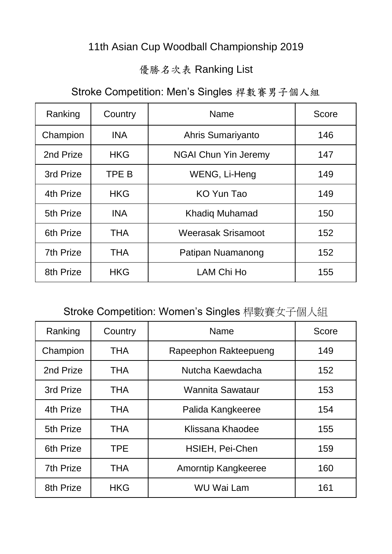#### 11th Asian Cup Woodball Championship 2019

#### 優勝名次表 Ranking List

### Stroke Competition: Men's Singles 桿數賽男子個人組

| Ranking   | Country    | <b>Name</b>                 | Score |
|-----------|------------|-----------------------------|-------|
| Champion  | <b>INA</b> | Ahris Sumariyanto           | 146   |
| 2nd Prize | <b>HKG</b> | <b>NGAI Chun Yin Jeremy</b> | 147   |
| 3rd Prize | TPE B      | WENG, Li-Heng               | 149   |
| 4th Prize | <b>HKG</b> | KO Yun Tao                  | 149   |
| 5th Prize | <b>INA</b> | <b>Khadig Muhamad</b>       | 150   |
| 6th Prize | <b>THA</b> | <b>Weerasak Srisamoot</b>   | 152   |
| 7th Prize | <b>THA</b> | Patipan Nuamanong           | 152   |
| 8th Prize | <b>HKG</b> | LAM Chi Ho                  | 155   |

#### Stroke Competition: Women's Singles 桿數賽女子個人組

| Ranking   | Country    | <b>Name</b>            | Score |
|-----------|------------|------------------------|-------|
| Champion  | <b>THA</b> | Rapeephon Rakteepueng  | 149   |
| 2nd Prize | <b>THA</b> | Nutcha Kaewdacha       | 152   |
| 3rd Prize | <b>THA</b> | Wannita Sawataur       | 153   |
| 4th Prize | <b>THA</b> | Palida Kangkeeree      | 154   |
| 5th Prize | <b>THA</b> | Klissana Khaodee       | 155   |
| 6th Prize | <b>TPE</b> | <b>HSIEH, Pei-Chen</b> | 159   |
| 7th Prize | <b>THA</b> | Amorntip Kangkeeree    | 160   |
| 8th Prize | <b>HKG</b> | <b>WU Wai Lam</b>      | 161   |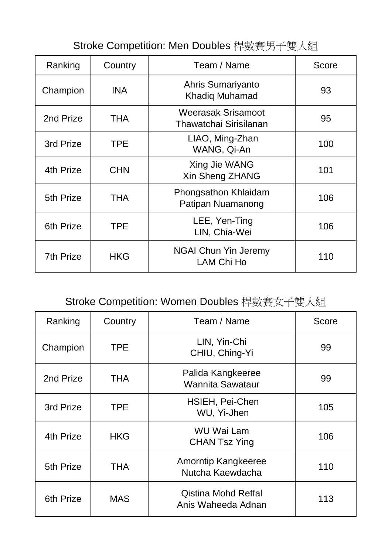| Stroke Competition: Men Doubles 桿數賽男子雙人組 |  |  |  |  |
|------------------------------------------|--|--|--|--|
|------------------------------------------|--|--|--|--|

| Ranking          | Country    | Team / Name                                         | Score |
|------------------|------------|-----------------------------------------------------|-------|
| Champion         | <b>INA</b> | Ahris Sumariyanto<br><b>Khadig Muhamad</b>          | 93    |
| 2nd Prize        | <b>THA</b> | <b>Weerasak Srisamoot</b><br>Thawatchai Sirisilanan | 95    |
| 3rd Prize        | <b>TPE</b> | LIAO, Ming-Zhan<br>WANG, Qi-An                      | 100   |
| 4th Prize        | <b>CHN</b> | Xing Jie WANG<br>Xin Sheng ZHANG                    | 101   |
| 5th Prize        | THA        | Phongsathon Khlaidam<br>Patipan Nuamanong           | 106   |
| 6th Prize        | <b>TPE</b> | LEE, Yen-Ting<br>LIN, Chia-Wei                      | 106   |
| <b>7th Prize</b> | <b>HKG</b> | <b>NGAI Chun Yin Jeremy</b><br><b>LAM Chi Ho</b>    | 110   |

# Stroke Competition: Women Doubles 桿數賽女子雙人組

| Ranking   | Country    | Team / Name                                      | <b>Score</b> |
|-----------|------------|--------------------------------------------------|--------------|
| Champion  | <b>TPE</b> | LIN, Yin-Chi<br>CHIU, Ching-Yi                   | 99           |
| 2nd Prize | <b>THA</b> | Palida Kangkeeree<br><b>Wannita Sawataur</b>     | 99           |
| 3rd Prize | <b>TPE</b> | <b>HSIEH, Pei-Chen</b><br>WU, Yi-Jhen            | 105          |
| 4th Prize | <b>HKG</b> | <b>WU Wai Lam</b><br><b>CHAN Tsz Ying</b>        | 106          |
| 5th Prize | <b>THA</b> | Amorntip Kangkeeree<br>Nutcha Kaewdacha          | 110          |
| 6th Prize | <b>MAS</b> | <b>Qistina Mohd Reffal</b><br>Anis Waheeda Adnan | 113          |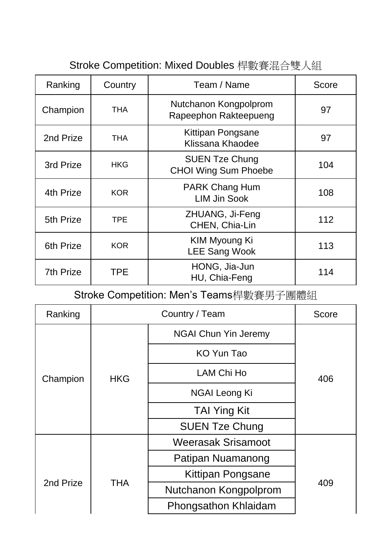| Ranking          | Country    | Team / Name                                          | Score |
|------------------|------------|------------------------------------------------------|-------|
| Champion         | <b>THA</b> | Nutchanon Kongpolprom<br>Rapeephon Rakteepueng       | 97    |
| 2nd Prize        | THA        | Kittipan Pongsane<br>Klissana Khaodee                | 97    |
| 3rd Prize        | <b>HKG</b> | <b>SUEN Tze Chung</b><br><b>CHOI Wing Sum Phoebe</b> | 104   |
| 4th Prize        | <b>KOR</b> | <b>PARK Chang Hum</b><br><b>LIM Jin Sook</b>         | 108   |
| 5th Prize        | <b>TPE</b> | ZHUANG, Ji-Feng<br>CHEN, Chia-Lin                    | 112   |
| 6th Prize        | <b>KOR</b> | <b>KIM Myoung Ki</b><br><b>LEE Sang Wook</b>         | 113   |
| <b>7th Prize</b> | <b>TPE</b> | HONG, Jia-Jun<br>HU, Chia-Feng                       | 114   |

### Stroke Competition: Mixed Doubles 桿數賽混合雙人組

Stroke Competition: Men's Teams桿數賽男子團體組

| Ranking   |            | <b>Score</b>                |     |
|-----------|------------|-----------------------------|-----|
|           |            | <b>NGAI Chun Yin Jeremy</b> |     |
|           |            | KO Yun Tao                  |     |
| Champion  | <b>HKG</b> | <b>LAM Chi Ho</b>           | 406 |
|           |            | NGAI Leong Ki               |     |
|           |            | <b>TAI Ying Kit</b>         |     |
|           |            | <b>SUEN Tze Chung</b>       |     |
|           |            | <b>Weerasak Srisamoot</b>   |     |
|           |            | Patipan Nuamanong           |     |
| 2nd Prize | <b>THA</b> | Kittipan Pongsane           |     |
|           |            | Nutchanon Kongpolprom       | 409 |
|           |            | Phongsathon Khlaidam        |     |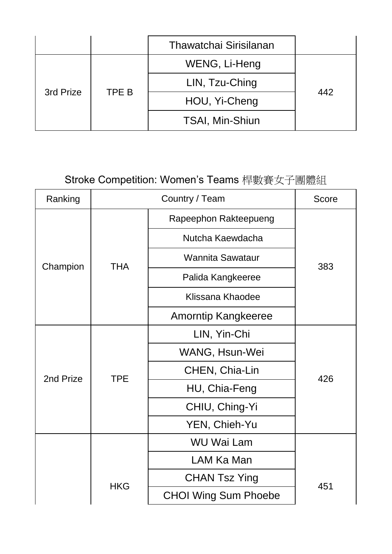|           |       | Thawatchai Sirisilanan |     |
|-----------|-------|------------------------|-----|
| 3rd Prize | TPE B | WENG, Li-Heng          |     |
|           |       | LIN, Tzu-Ching         | 442 |
|           |       | HOU, Yi-Cheng          |     |
|           |       | <b>TSAI, Min-Shiun</b> |     |

## Stroke Competition: Women's Teams 桿數賽女子團體組

| Ranking   | Country / Team |                             | <b>Score</b> |
|-----------|----------------|-----------------------------|--------------|
|           |                | Rapeephon Rakteepueng       |              |
|           |                | Nutcha Kaewdacha            |              |
|           | <b>THA</b>     | <b>Wannita Sawataur</b>     | 383          |
| Champion  |                | Palida Kangkeeree           |              |
|           |                | Klissana Khaodee            |              |
|           |                | <b>Amorntip Kangkeeree</b>  |              |
| 2nd Prize | <b>TPE</b>     | LIN, Yin-Chi                | 426          |
|           |                | WANG, Hsun-Wei              |              |
|           |                | CHEN, Chia-Lin              |              |
|           |                | HU, Chia-Feng               |              |
|           |                | CHIU, Ching-Yi              |              |
|           |                | YEN, Chieh-Yu               |              |
|           |                | <b>WU Wai Lam</b>           |              |
|           |                | LAM Ka Man                  |              |
|           | <b>HKG</b>     | <b>CHAN Tsz Ying</b>        | 451          |
|           |                | <b>CHOI Wing Sum Phoebe</b> |              |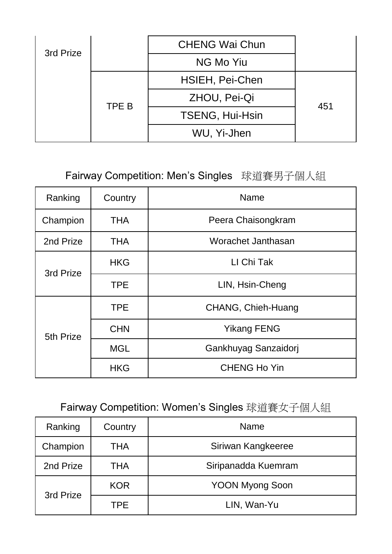| 3rd Prize | <b>CHENG Wai Chun</b>  |     |
|-----------|------------------------|-----|
|           | NG Mo Yiu              |     |
|           | HSIEH, Pei-Chen        |     |
| TPE B     | ZHOU, Pei-Qi           | 451 |
|           | <b>TSENG, Hui-Hsin</b> |     |
|           | WU, Yi-Jhen            |     |

### Fairway Competition: Men's Singles 球道賽男子個人組

| Ranking   | Country    | <b>Name</b>          |
|-----------|------------|----------------------|
| Champion  | <b>THA</b> | Peera Chaisongkram   |
| 2nd Prize | <b>THA</b> | Worachet Janthasan   |
| 3rd Prize | <b>HKG</b> | LI Chi Tak           |
|           | <b>TPE</b> | LIN, Hsin-Cheng      |
|           | <b>TPE</b> | CHANG, Chieh-Huang   |
| 5th Prize | <b>CHN</b> | <b>Yikang FENG</b>   |
|           | <b>MGL</b> | Gankhuyag Sanzaidorj |
|           | <b>HKG</b> | <b>CHENG Ho Yin</b>  |

Fairway Competition: Women's Singles 球道賽女子個人組

| Ranking   | Country    | <b>Name</b>            |
|-----------|------------|------------------------|
| Champion  | <b>THA</b> | Siriwan Kangkeeree     |
| 2nd Prize | <b>THA</b> | Siripanadda Kuemram    |
| 3rd Prize | <b>KOR</b> | <b>YOON Myong Soon</b> |
|           | <b>TPE</b> | LIN, Wan-Yu            |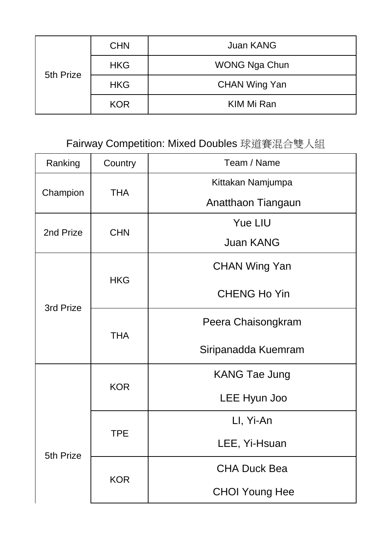| 5th Prize | <b>CHN</b> | <b>Juan KANG</b>     |
|-----------|------------|----------------------|
|           | <b>HKG</b> | <b>WONG Nga Chun</b> |
|           | <b>HKG</b> | <b>CHAN Wing Yan</b> |
|           | <b>KOR</b> | KIM Mi Ran           |

## Fairway Competition: Mixed Doubles 球道賽混合雙人組

| Ranking   | Country    | Team / Name           |
|-----------|------------|-----------------------|
|           | <b>THA</b> | Kittakan Namjumpa     |
| Champion  |            | Anatthaon Tiangaun    |
| 2nd Prize |            | <b>Yue LIU</b>        |
|           | <b>CHN</b> | <b>Juan KANG</b>      |
|           |            | <b>CHAN Wing Yan</b>  |
| 3rd Prize | <b>HKG</b> | <b>CHENG Ho Yin</b>   |
|           | <b>THA</b> | Peera Chaisongkram    |
|           |            | Siripanadda Kuemram   |
|           | <b>KOR</b> | <b>KANG Tae Jung</b>  |
|           |            | LEE Hyun Joo          |
|           | TPE        | LI, Yi-An             |
| 5th Prize |            | LEE, Yi-Hsuan         |
|           | <b>KOR</b> | <b>CHA Duck Bea</b>   |
|           |            | <b>CHOI Young Hee</b> |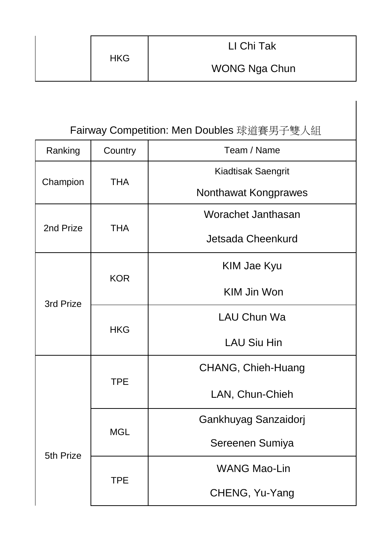|            | LI Chi Tak           |
|------------|----------------------|
| <b>HKG</b> | <b>WONG Nga Chun</b> |

Fairway Competition: Men Doubles 球道賽男子雙人組

| Ranking   | Country    | Team / Name               |
|-----------|------------|---------------------------|
|           | <b>THA</b> | <b>Kiadtisak Saengrit</b> |
| Champion  |            | Nonthawat Kongprawes      |
|           |            | Worachet Janthasan        |
| 2nd Prize | <b>THA</b> | Jetsada Cheenkurd         |
|           | <b>KOR</b> | KIM Jae Kyu               |
| 3rd Prize |            | <b>KIM Jin Won</b>        |
|           | <b>HKG</b> | <b>LAU Chun Wa</b>        |
|           |            | <b>LAU Siu Hin</b>        |
|           | <b>TPE</b> | CHANG, Chieh-Huang        |
|           |            | LAN, Chun-Chieh           |
|           | MGL        | Gankhuyag Sanzaidorj      |
| 5th Prize |            | Sereenen Sumiya           |
|           | <b>TPE</b> | <b>WANG Mao-Lin</b>       |
|           |            | CHENG, Yu-Yang            |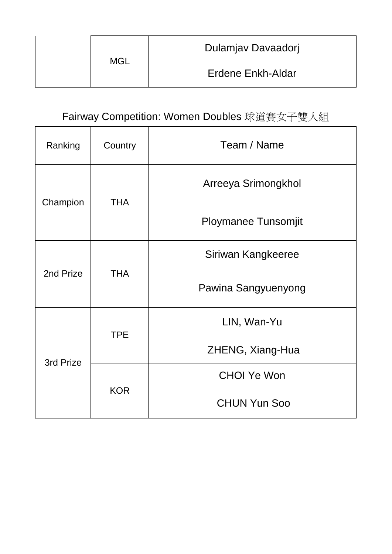|  |     | Dulamjav Davaadorj |
|--|-----|--------------------|
|  | MGL | Erdene Enkh-Aldar  |

## Fairway Competition: Women Doubles 球道賽女子雙人組

| Ranking   | Country    | Team / Name                |
|-----------|------------|----------------------------|
|           | <b>THA</b> | Arreeya Srimongkhol        |
| Champion  |            | <b>Ploymanee Tunsomjit</b> |
| 2nd Prize | <b>THA</b> | Siriwan Kangkeeree         |
|           |            | Pawina Sangyuenyong        |
| 3rd Prize | <b>TPE</b> | LIN, Wan-Yu                |
|           |            | ZHENG, Xiang-Hua           |
|           | <b>KOR</b> | <b>CHOI Ye Won</b>         |
|           |            | <b>CHUN Yun Soo</b>        |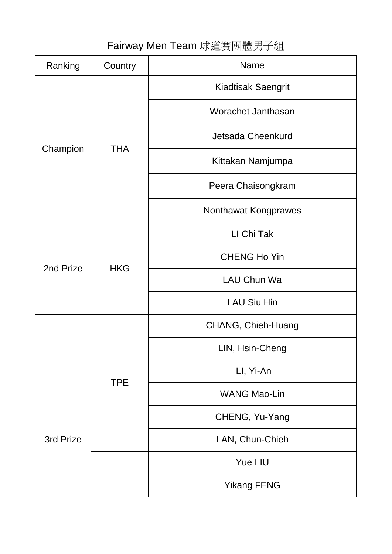### Fairway Men Team 球道賽團體男子組

| Ranking   | Country    | Name                      |
|-----------|------------|---------------------------|
|           |            | <b>Kiadtisak Saengrit</b> |
|           |            | Worachet Janthasan        |
|           |            | Jetsada Cheenkurd         |
| Champion  | <b>THA</b> | Kittakan Namjumpa         |
|           |            | Peera Chaisongkram        |
|           |            | Nonthawat Kongprawes      |
|           | <b>HKG</b> | LI Chi Tak                |
| 2nd Prize |            | <b>CHENG Ho Yin</b>       |
|           |            | LAU Chun Wa               |
|           |            | <b>LAU Siu Hin</b>        |
|           |            | CHANG, Chieh-Huang        |
|           | <b>TPE</b> | LIN, Hsin-Cheng           |
|           |            | LI, Yi-An                 |
|           |            | <b>WANG Mao-Lin</b>       |
|           |            | CHENG, Yu-Yang            |
| 3rd Prize |            | LAN, Chun-Chieh           |
|           |            | <b>Yue LIU</b>            |
|           |            | <b>Yikang FENG</b>        |